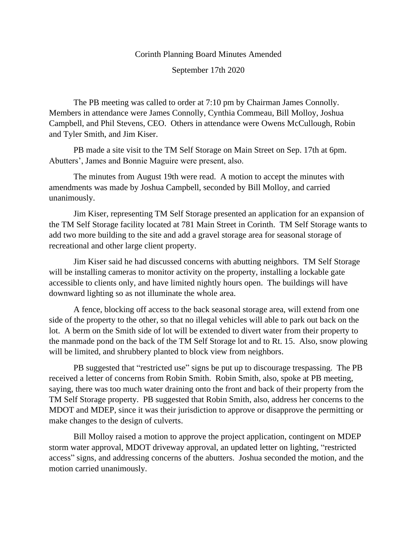## Corinth Planning Board Minutes Amended

September 17th 2020

The PB meeting was called to order at 7:10 pm by Chairman James Connolly. Members in attendance were James Connolly, Cynthia Commeau, Bill Molloy, Joshua Campbell, and Phil Stevens, CEO. Others in attendance were Owens McCullough, Robin and Tyler Smith, and Jim Kiser.

PB made a site visit to the TM Self Storage on Main Street on Sep. 17th at 6pm. Abutters', James and Bonnie Maguire were present, also.

The minutes from August 19th were read. A motion to accept the minutes with amendments was made by Joshua Campbell, seconded by Bill Molloy, and carried unanimously.

Jim Kiser, representing TM Self Storage presented an application for an expansion of the TM Self Storage facility located at 781 Main Street in Corinth. TM Self Storage wants to add two more building to the site and add a gravel storage area for seasonal storage of recreational and other large client property.

Jim Kiser said he had discussed concerns with abutting neighbors. TM Self Storage will be installing cameras to monitor activity on the property, installing a lockable gate accessible to clients only, and have limited nightly hours open. The buildings will have downward lighting so as not illuminate the whole area.

A fence, blocking off access to the back seasonal storage area, will extend from one side of the property to the other, so that no illegal vehicles will able to park out back on the lot. A berm on the Smith side of lot will be extended to divert water from their property to the manmade pond on the back of the TM Self Storage lot and to Rt. 15. Also, snow plowing will be limited, and shrubbery planted to block view from neighbors.

PB suggested that "restricted use" signs be put up to discourage trespassing. The PB received a letter of concerns from Robin Smith. Robin Smith, also, spoke at PB meeting, saying, there was too much water draining onto the front and back of their property from the TM Self Storage property. PB suggested that Robin Smith, also, address her concerns to the MDOT and MDEP, since it was their jurisdiction to approve or disapprove the permitting or make changes to the design of culverts.

Bill Molloy raised a motion to approve the project application, contingent on MDEP storm water approval, MDOT driveway approval, an updated letter on lighting, "restricted access" signs, and addressing concerns of the abutters. Joshua seconded the motion, and the motion carried unanimously.